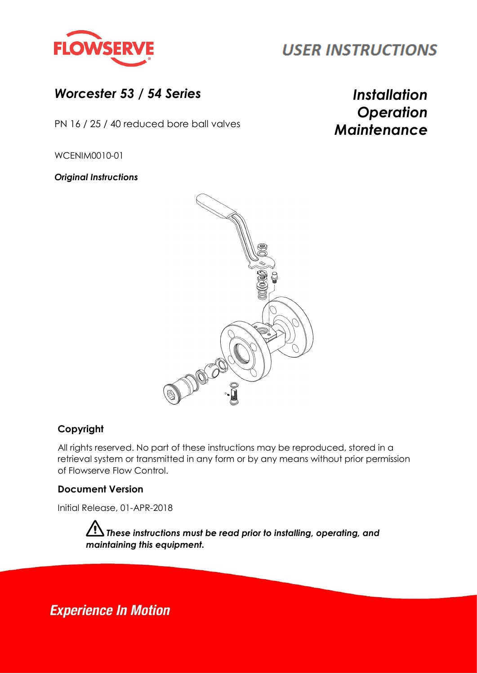

## **USER INSTRUCTIONS**

## *Worcester 53 / 54 Series Installation*

*Maintenance* PN 16 / 25 / <sup>40</sup> reduced bore ball valves

# *Operation*

WCENIM0010-01

*Original Instructions*



## **Copyright**

All rights reserved. No part of these instructions may be reproduced, stored in a retrieval system or transmitted in any form or by any means without prior permission of Flowserve Flow Control.

#### **Document Version**

Initial Release, 01-APR-2018

*These instructions must be read prior to installing, operating, and maintaining this equipment.*

**Experience In Motion**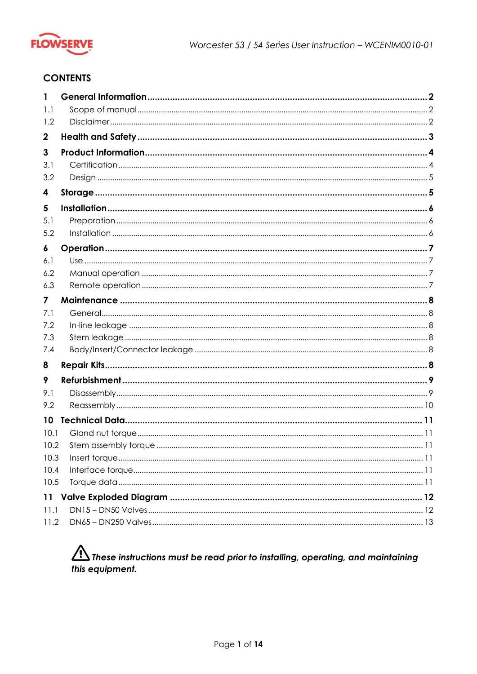

#### **CONTENTS**

| 1                |  |
|------------------|--|
| 1.1              |  |
| 1.2              |  |
| $\boldsymbol{2}$ |  |
| 3                |  |
| 3.1              |  |
| 3.2              |  |
| 4                |  |
| 5                |  |
| 5.1              |  |
| 5.2              |  |
| 6                |  |
| 6.1              |  |
| 6.2              |  |
| 6.3              |  |
| 7                |  |
| 7.1              |  |
| 7.2              |  |
| 7.3              |  |
| 7.4              |  |
| 8                |  |
| 9                |  |
| 9.1              |  |
| 9.2              |  |
| 10               |  |
| 10.1             |  |
| 10.2             |  |
| 10.3             |  |
| 10.4             |  |
| 10.5             |  |
| 11               |  |
| 11.1             |  |
| 11.2             |  |

## $\bigwedge$  These instructions must be read prior to installing, operating, and maintaining this equipment.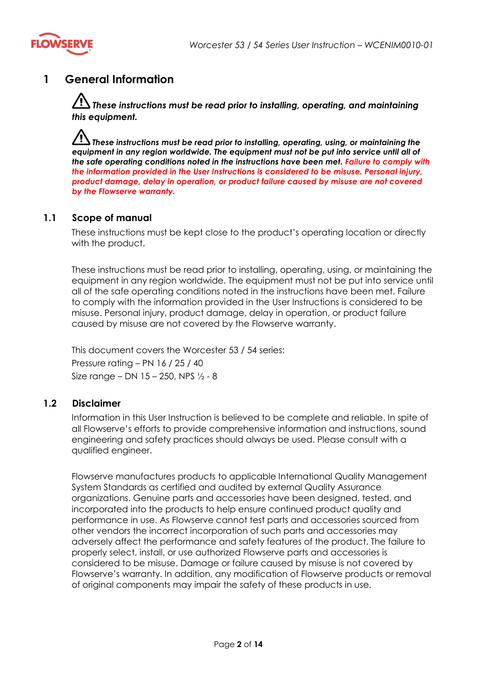

## **1 General Information**

 $\overline{\cal D}$  These instructions must be read prior to installing, operating, and maintaining *this equipment.*

*These instructions must be read prior to installing, operating, using, or maintaining the equipment in any region worldwide. The equipment must not be put into service until all of the safe operating conditions noted in the instructions have been met. Failure to comply with the information provided in the User Instructions is considered to be misuse. Personal injury, product damage, delay in operation, or product failure caused by misuse are not covered by the Flowserve warranty.*

#### **1.1 Scope of manual**

These instructions must be kept close to the product's operating location or directly with the product.

These instructions must be read prior to installing, operating, using, or maintaining the equipment in any region worldwide. The equipment must not be put into service until all of the safe operating conditions noted in the instructions have been met. Failure to comply with the information provided in the User Instructions is considered to be misuse. Personal injury, product damage, delay in operation, or product failure caused by misuse are not covered by the Flowserve warranty.

This document covers the Worcester 53 / 54 series: Pressure rating – PN 16 / 25 / 40 Size range – DN  $15 - 250$ , NPS  $\frac{1}{2} - 8$ 

#### **1.2 Disclaimer**

Information in this User Instruction is believed to be complete and reliable. In spite of all Flowserve's efforts to provide comprehensive information and instructions, sound engineering and safety practices should always be used. Please consult with a qualified engineer.

Flowserve manufactures products to applicable International Quality Management System Standards as certified and audited by external Quality Assurance organizations. Genuine parts and accessories have been designed, tested, and incorporated into the products to help ensure continued product quality and performance in use. As Flowserve cannot test parts and accessories sourced from other vendors the incorrect incorporation of such parts and accessories may adversely affect the performance and safety features of the product. The failure to properly select, install, or use authorized Flowserve parts and accessories is considered to be misuse. Damage or failure caused by misuse is not covered by Flowserve's warranty. In addition, any modification of Flowserve products or removal of original components may impair the safety of these products in use.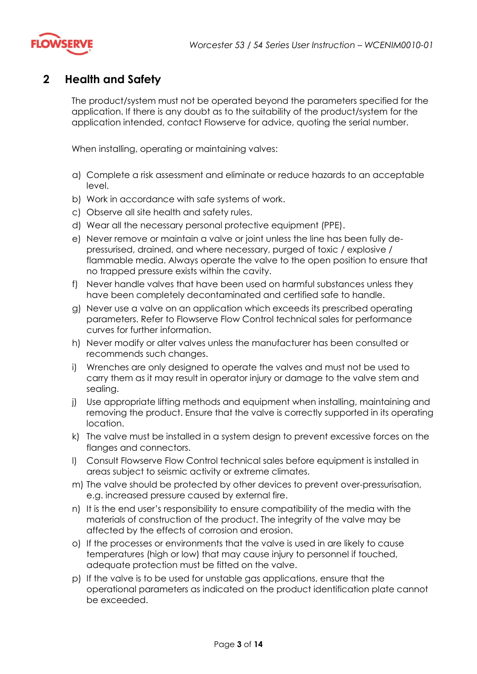

## <span id="page-3-0"></span>**2 Health and Safety**

The product/system must not be operated beyond the parameters specified for the application. If there is any doubt as to the suitability of the product/system for the application intended, contact Flowserve for advice, quoting the serial number.

When installing, operating or maintaining valves:

- a) Complete a risk assessment and eliminate or reduce hazards to an acceptable level.
- b) Work in accordance with safe systems of work.
- c) Observe all site health and safety rules.
- d) Wear all the necessary personal protective equipment (PPE).
- e) Never remove or maintain a valve or joint unless the line has been fully depressurised, drained, and where necessary, purged of toxic / explosive / flammable media. Always operate the valve to the open position to ensure that no trapped pressure exists within the cavity.
- f) Never handle valves that have been used on harmful substances unless they have been completely decontaminated and certified safe to handle.
- g) Never use a valve on an application which exceeds its prescribed operating parameters. Refer to Flowserve Flow Control technical sales for performance curves for further information.
- h) Never modify or alter valves unless the manufacturer has been consulted or recommends such changes.
- i) Wrenches are only designed to operate the valves and must not be used to carry them as it may result in operator injury or damage to the valve stem and sealing.
- j) Use appropriate lifting methods and equipment when installing, maintaining and removing the product. Ensure that the valve is correctly supported in its operating location.
- k) The valve must be installed in a system design to prevent excessive forces on the flanges and connectors.
- l) Consult Flowserve Flow Control technical sales before equipment is installed in areas subject to seismic activity or extreme climates.
- m) The valve should be protected by other devices to prevent over-pressurisation, e.g. increased pressure caused by external fire.
- n) It is the end user's responsibility to ensure compatibility of the media with the materials of construction of the product. The integrity of the valve may be affected by the effects of corrosion and erosion.
- o) If the processes or environments that the valve is used in are likely to cause temperatures (high or low) that may cause injury to personnel if touched, adequate protection must be fitted on the valve.
- p) If the valve is to be used for unstable gas applications, ensure that the operational parameters as indicated on the product identification plate cannot be exceeded.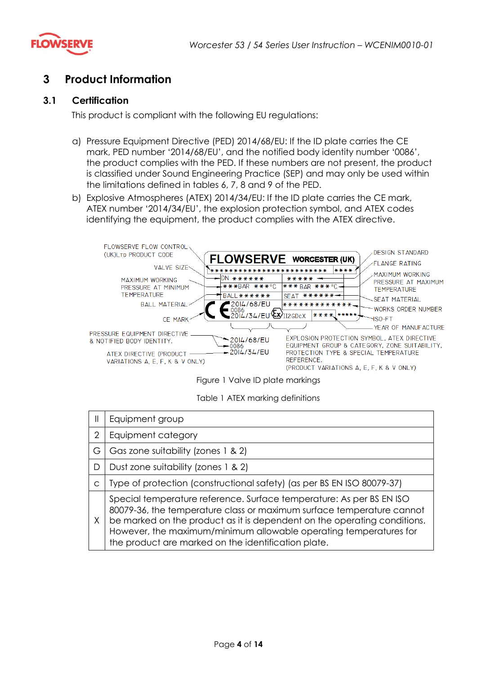

## **3 Product Information**

#### **3.1 Certification**

This product is compliant with the following EU regulations:

- a) Pressure Equipment Directive (PED) 2014/68/EU: If the ID plate carries the CE mark, PED number '2014/68/EU', and the notified body identity number '0086', the product complies with the PED. If these numbers are not present, the product is classified under Sound Engineering Practice (SEP) and may only be used within the limitations defined in tables 6, 7, 8 and 9 of the PED.
- b) Explosive Atmospheres (ATEX) 2014/34/EU: If the ID plate carries the CE mark, ATEX number '2014/34/EU', the explosion protection symbol, and ATEX codes identifying the equipment, the product complies with the ATEX directive.



Figure 1 Valve ID plate markings

Table 1 ATEX marking definitions

| $\mathsf{I}\mathsf{I}$ | Equipment group                                                                                                                                                                                                                                                                                                                                       |  |  |  |  |  |
|------------------------|-------------------------------------------------------------------------------------------------------------------------------------------------------------------------------------------------------------------------------------------------------------------------------------------------------------------------------------------------------|--|--|--|--|--|
| 2                      | Equipment category                                                                                                                                                                                                                                                                                                                                    |  |  |  |  |  |
| G                      | Gas zone suitability (zones 1 & 2)                                                                                                                                                                                                                                                                                                                    |  |  |  |  |  |
| D                      | Dust zone suitability (zones 1 & 2)                                                                                                                                                                                                                                                                                                                   |  |  |  |  |  |
| C                      | Type of protection (constructional safety) (as per BS EN ISO 80079-37)                                                                                                                                                                                                                                                                                |  |  |  |  |  |
| X                      | Special temperature reference. Surface temperature: As per BS EN ISO<br>80079-36, the temperature class or maximum surface temperature cannot<br>be marked on the product as it is dependent on the operating conditions.<br>However, the maximum/minimum allowable operating temperatures for<br>the product are marked on the identification plate. |  |  |  |  |  |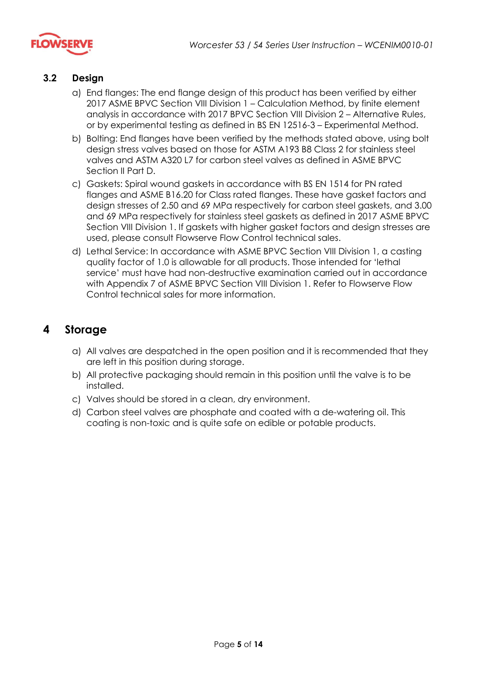

#### **3.2 Design**

- a) End flanges: The end flange design of this product has been verified by either 2017 ASME BPVC Section VIII Division 1 – Calculation Method, by finite element analysis in accordance with 2017 BPVC Section VIII Division 2 – Alternative Rules, or by experimental testing as defined in BS EN 12516-3 – Experimental Method.
- b) Bolting: End flanges have been verified by the methods stated above, using bolt design stress valves based on those for ASTM A193 B8 Class 2 for stainless steel valves and ASTM A320 L7 for carbon steel valves as defined in ASME BPVC Section II Part D.
- c) Gaskets: Spiral wound gaskets in accordance with BS EN 1514 for PN rated flanges and ASME B16.20 for Class rated flanges. These have gasket factors and design stresses of 2.50 and 69 MPa respectively for carbon steel gaskets, and 3.00 and 69 MPa respectively for stainless steel gaskets as defined in 2017 ASME BPVC Section VIII Division 1. If gaskets with higher gasket factors and design stresses are used, please consult Flowserve Flow Control technical sales.
- d) Lethal Service: In accordance with ASME BPVC Section VIII Division 1, a casting quality factor of 1.0 is allowable for all products. Those intended for 'lethal service' must have had non-destructive examination carried out in accordance with Appendix 7 of ASME BPVC Section VIII Division 1. Refer to Flowserve Flow Control technical sales for more information.

## **4 Storage**

- a) All valves are despatched in the open position and it is recommended that they are left in this position during storage.
- b) All protective packaging should remain in this position until the valve is to be installed.
- c) Valves should be stored in a clean, dry environment.
- d) Carbon steel valves are phosphate and coated with a de-watering oil. This coating is non-toxic and is quite safe on edible or potable products.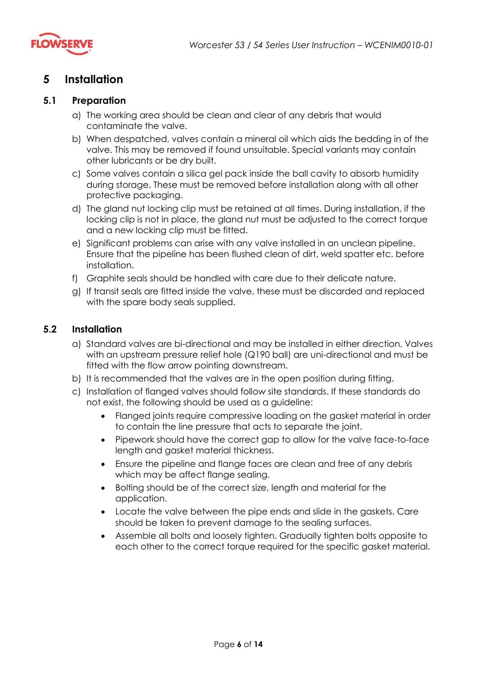

## **5 Installation**

#### **5.1 Preparation**

- a) The working area should be clean and clear of any debris that would contaminate the valve.
- b) When despatched, valves contain a mineral oil which aids the bedding in of the valve. This may be removed if found unsuitable. Special variants may contain other lubricants or be dry built.
- c) Some valves contain a silica gel pack inside the ball cavity to absorb humidity during storage. These must be removed before installation along with all other protective packaging.
- d) The gland nut locking clip must be retained at all times. During installation, if the locking clip is not in place, the gland nut must be adjusted to the correct torque and a new locking clip must be fitted.
- e) Significant problems can arise with any valve installed in an unclean pipeline. Ensure that the pipeline has been flushed clean of dirt, weld spatter etc. before installation.
- f) Graphite seals should be handled with care due to their delicate nature.
- g) If transit seals are fitted inside the valve, these must be discarded and replaced with the spare body seals supplied.

#### **5.2 Installation**

- a) Standard valves are bi-directional and may be installed in either direction. Valves with an upstream pressure relief hole (Q190 ball) are uni-directional and must be fitted with the flow arrow pointing downstream.
- b) It is recommended that the valves are in the open position during fitting.
- c) Installation of flanged valves should follow site standards. If these standards do not exist, the following should be used as a guideline:
	- Flanged joints require compressive loading on the gasket material in order to contain the line pressure that acts to separate the joint.
	- Pipework should have the correct gap to allow for the valve face-to-face length and gasket material thickness.
	- Ensure the pipeline and flange faces are clean and free of any debris which may be affect flange sealing.
	- Bolting should be of the correct size, length and material for the application.
	- Locate the valve between the pipe ends and slide in the gaskets. Care should be taken to prevent damage to the sealing surfaces.
	- Assemble all bolts and loosely tighten. Gradually tighten bolts opposite to each other to the correct torque required for the specific gasket material.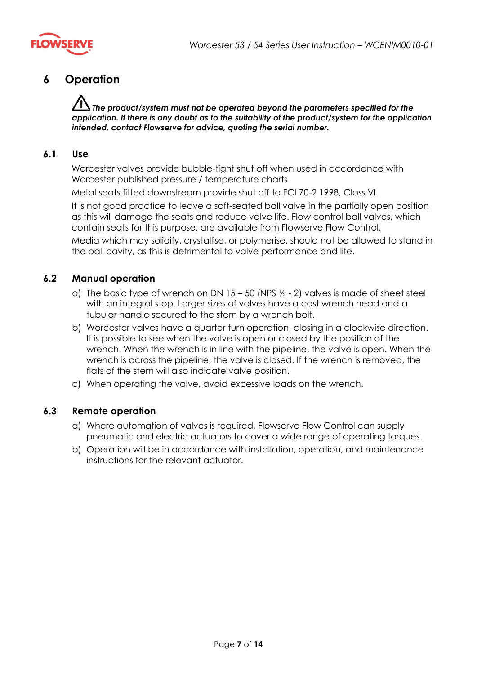

## **6 Operation**

*The product/system must not be operated beyond the parameters specified for the application. If there is any doubt as to the suitability of the product/system for the application intended, contact Flowserve for advice, quoting the serial number.*

#### **6.1 Use**

Worcester valves provide bubble-tight shut off when used in accordance with Worcester published pressure / temperature charts.

Metal seats fitted downstream provide shut off to FCI 70-2 1998, Class VI.

It is not good practice to leave a soft-seated ball valve in the partially open position as this will damage the seats and reduce valve life. Flow control ball valves, which contain seats for this purpose, are available from Flowserve Flow Control.

Media which may solidify, crystallise, or polymerise, should not be allowed to stand in the ball cavity, as this is detrimental to valve performance and life.

#### **6.2 Manual operation**

- a) The basic type of wrench on DN  $15 50$  (NPS  $\frac{1}{2} 2$ ) valves is made of sheet steel with an integral stop. Larger sizes of valves have a cast wrench head and a tubular handle secured to the stem by a wrench bolt.
- b) Worcester valves have a quarter turn operation, closing in a clockwise direction. It is possible to see when the valve is open or closed by the position of the wrench. When the wrench is in line with the pipeline, the valve is open. When the wrench is across the pipeline, the valve is closed. If the wrench is removed, the flats of the stem will also indicate valve position.
- c) When operating the valve, avoid excessive loads on the wrench.

#### **6.3 Remote operation**

- a) Where automation of valves is required, Flowserve Flow Control can supply pneumatic and electric actuators to cover a wide range of operating torques.
- b) Operation will be in accordance with installation, operation, and maintenance instructions for the relevant actuator.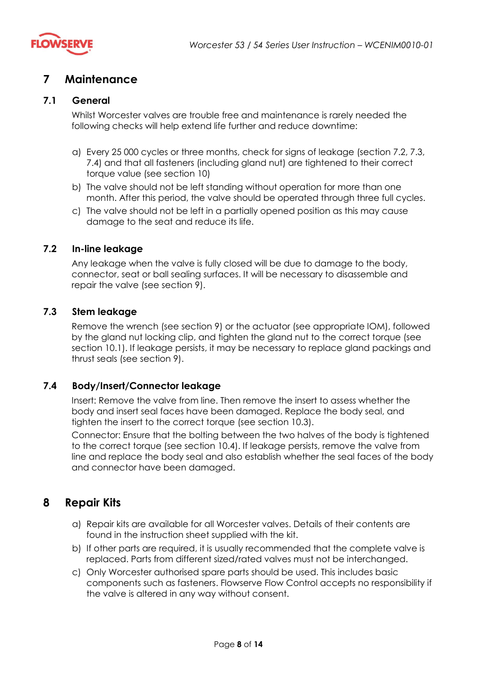

## **7 Maintenance**

#### **7.1 General**

Whilst Worcester valves are trouble free and maintenance is rarely needed the following checks will help extend life further and reduce downtime:

- a) Every 25 000 cycles or three months, check for signs of leakage (section [7.2,](#page-8-0) [7.3,](#page-8-1) [7.4\)](#page-8-2) and that all fasteners (including gland nut) are tightened to their correct torque value (see section [10\)](#page-11-0)
- b) The valve should not be left standing without operation for more than one month. After this period, the valve should be operated through three full cycles.
- c) The valve should not be left in a partially opened position as this may cause damage to the seat and reduce its life.

#### <span id="page-8-0"></span>**7.2 In-line leakage**

Any leakage when the valve is fully closed will be due to damage to the body, connector, seat or ball sealing surfaces. It will be necessary to disassemble and repair the valve (see section [9\)](#page-9-0).

#### <span id="page-8-1"></span>**7.3 Stem leakage**

Remove the wrench (see section [9\)](#page-9-0) or the actuator (see appropriate IOM), followed by the gland nut locking clip, and tighten the gland nut to the correct torque (see section [10.1\)](#page-11-1). If leakage persists, it may be necessary to replace gland packings and thrust seals (see section [9\)](#page-9-0).

#### <span id="page-8-2"></span>**7.4 Body/Insert/Connector leakage**

Insert: Remove the valve from line. Then remove the insert to assess whether the body and insert seal faces have been damaged. Replace the body seal, and tighten the insert to the correct torque (see section [10.3\)](#page-11-2).

Connector: Ensure that the bolting between the two halves of the body is tightened to the correct torque (see section [10.4\)](#page-11-3). If leakage persists, remove the valve from line and replace the body seal and also establish whether the seal faces of the body and connector have been damaged.

## **8 Repair Kits**

- a) Repair kits are available for all Worcester valves. Details of their contents are found in the instruction sheet supplied with the kit.
- b) If other parts are required, it is usually recommended that the complete valve is replaced. Parts from different sized/rated valves must not be interchanged.
- c) Only Worcester authorised spare parts should be used. This includes basic components such as fasteners. Flowserve Flow Control accepts no responsibility if the valve is altered in any way without consent.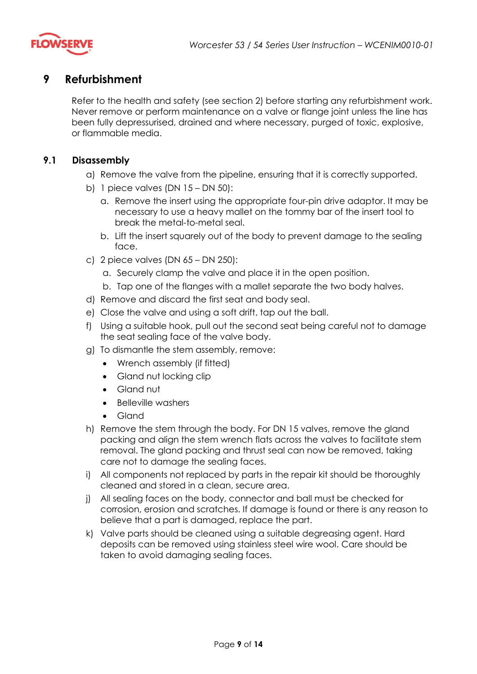

## <span id="page-9-0"></span>**9 Refurbishment**

Refer to the health and safety (see section [2\)](#page-3-0) before starting any refurbishment work. Never remove or perform maintenance on a valve or flange joint unless the line has been fully depressurised, drained and where necessary, purged of toxic, explosive, or flammable media.

#### **9.1 Disassembly**

- a) Remove the valve from the pipeline, ensuring that it is correctly supported.
- b) 1 piece valves (DN 15 DN 50):
	- a. Remove the insert using the appropriate four-pin drive adaptor. It may be necessary to use a heavy mallet on the tommy bar of the insert tool to break the metal-to-metal seal.
	- b. Lift the insert squarely out of the body to prevent damage to the sealing face.
- c) 2 piece valves (DN 65 DN 250):
	- a. Securely clamp the valve and place it in the open position.
	- b. Tap one of the flanges with a mallet separate the two body halves.
- d) Remove and discard the first seat and body seal.
- e) Close the valve and using a soft drift, tap out the ball.
- f) Using a suitable hook, pull out the second seat being careful not to damage the seat sealing face of the valve body.
- g) To dismantle the stem assembly, remove:
	- Wrench assembly (if fitted)
	- Gland nut locking clip
	- Gland nut
	- Belleville washers
	- Gland
- h) Remove the stem through the body. For DN 15 valves, remove the gland packing and align the stem wrench flats across the valves to facilitate stem removal. The gland packing and thrust seal can now be removed, taking care not to damage the sealing faces.
- i) All components not replaced by parts in the repair kit should be thoroughly cleaned and stored in a clean, secure area.
- j) All sealing faces on the body, connector and ball must be checked for corrosion, erosion and scratches. If damage is found or there is any reason to believe that a part is damaged, replace the part.
- k) Valve parts should be cleaned using a suitable degreasing agent. Hard deposits can be removed using stainless steel wire wool. Care should be taken to avoid damaging sealing faces.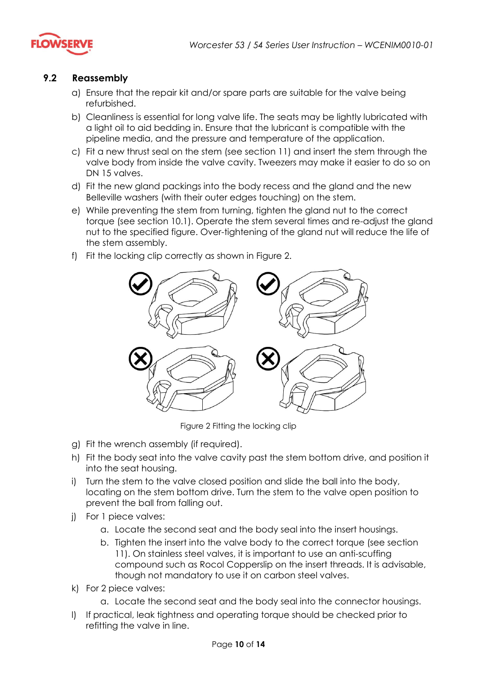

#### **9.2 Reassembly**

- a) Ensure that the repair kit and/or spare parts are suitable for the valve being refurbished.
- b) Cleanliness is essential for long valve life. The seats may be lightly lubricated with a light oil to aid bedding in. Ensure that the lubricant is compatible with the pipeline media, and the pressure and temperature of the application.
- c) Fit a new thrust seal on the stem (see section [11\)](#page-12-0) and insert the stem through the valve body from inside the valve cavity. Tweezers may make it easier to do so on DN 15 valves.
- d) Fit the new gland packings into the body recess and the gland and the new Belleville washers (with their outer edges touching) on the stem.
- e) While preventing the stem from turning, tighten the gland nut to the correct torque (see section [10.1\)](#page-11-1). Operate the stem several times and re-adjust the gland nut to the specified figure. Over-tightening of the gland nut will reduce the life of the stem assembly.
- f) Fit the locking clip correctly as shown in [Figure 2.](#page-10-0)



Figure 2 Fitting the locking clip

- <span id="page-10-0"></span>g) Fit the wrench assembly (if required).
- h) Fit the body seat into the valve cavity past the stem bottom drive, and position it into the seat housing.
- i) Turn the stem to the valve closed position and slide the ball into the body, locating on the stem bottom drive. Turn the stem to the valve open position to prevent the ball from falling out.
- j) For 1 piece valves:
	- a. Locate the second seat and the body seal into the insert housings.
	- b. Tighten the insert into the valve body to the correct torque (see section 11). On stainless steel valves, it is important to use an anti-scuffing compound such as Rocol Copperslip on the insert threads. It is advisable, though not mandatory to use it on carbon steel valves.
- k) For 2 piece valves:
	- a. Locate the second seat and the body seal into the connector housings.
- l) If practical, leak tightness and operating torque should be checked prior to refitting the valve in line.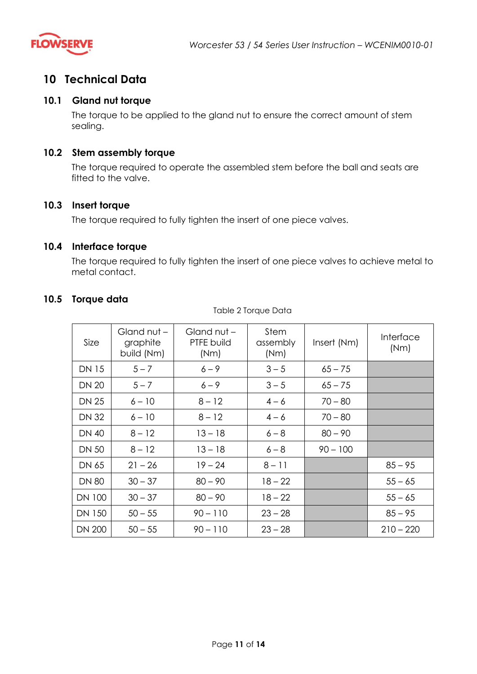

## <span id="page-11-0"></span>**10 Technical Data**

#### <span id="page-11-1"></span>**10.1 Gland nut torque**

The torque to be applied to the gland nut to ensure the correct amount of stem sealing.

#### **10.2 Stem assembly torque**

The torque required to operate the assembled stem before the ball and seats are fitted to the valve.

#### <span id="page-11-2"></span>**10.3 Insert torque**

The torque required to fully tighten the insert of one piece valves.

#### <span id="page-11-3"></span>**10.4 Interface torque**

The torque required to fully tighten the insert of one piece valves to achieve metal to metal contact.

#### **10.5 Torque data**

Table 2 Torque Data

| Size          | Gland nut -<br>graphite<br>build (Nm) | Gland nut -<br>PTFE build<br>(Nm) | Stem<br>assembly<br>(Nm) | Insert (Nm) | Interface<br>(Nm) |
|---------------|---------------------------------------|-----------------------------------|--------------------------|-------------|-------------------|
| <b>DN 15</b>  | $5 - 7$                               | $6 - 9$                           | $3 - 5$                  | $65 - 75$   |                   |
| <b>DN 20</b>  | $5 - 7$                               | $6 - 9$                           | $3 - 5$                  | $65 - 75$   |                   |
| <b>DN 25</b>  | $6 - 10$                              | $8 - 12$                          | $4 - 6$                  | $70 - 80$   |                   |
| <b>DN 32</b>  | $6 - 10$                              | $8 - 12$                          | $4 - 6$                  | $70 - 80$   |                   |
| <b>DN 40</b>  | $8 - 12$                              | $13 - 18$                         | $6 - 8$                  | $80 - 90$   |                   |
| <b>DN 50</b>  | $8 - 12$                              | $13 - 18$                         | $6 - 8$                  | $90 - 100$  |                   |
| DN 65         | $21 - 26$                             | $19 - 24$                         | $8 - 11$                 |             | $85 - 95$         |
| <b>DN 80</b>  | $30 - 37$                             | $80 - 90$                         | $18 - 22$                |             | $55 - 65$         |
| <b>DN 100</b> | $30 - 37$                             | $80 - 90$                         | $18 - 22$                |             | $55 - 65$         |
| <b>DN 150</b> | $50 - 55$                             | $90 - 110$                        | $23 - 28$                |             | $85 - 95$         |
| <b>DN 200</b> | $50 - 55$                             | $90 - 110$                        | $23 - 28$                |             | $210 - 220$       |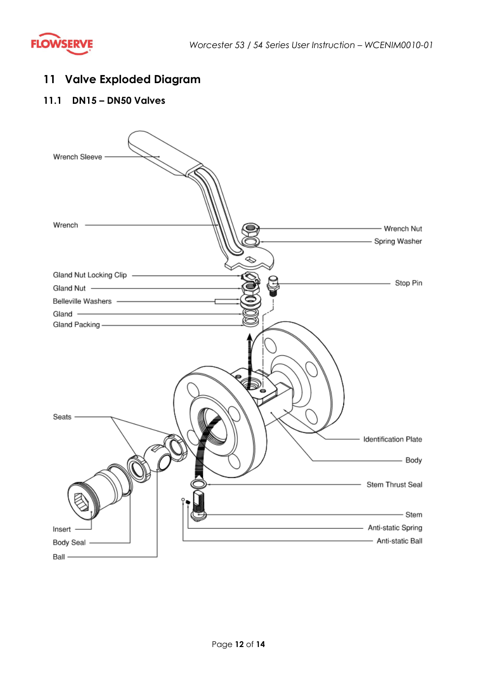

## <span id="page-12-0"></span>**11 Valve Exploded Diagram**

#### **11.1 DN15 – DN50 Valves**

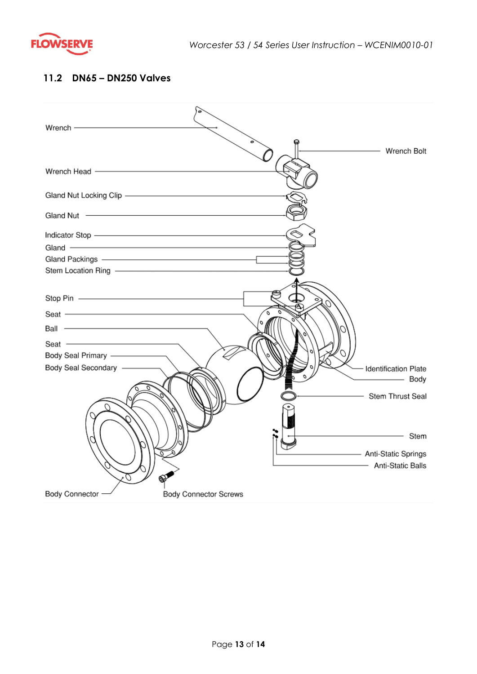

#### **11.2 DN65 – DN250 Valves**